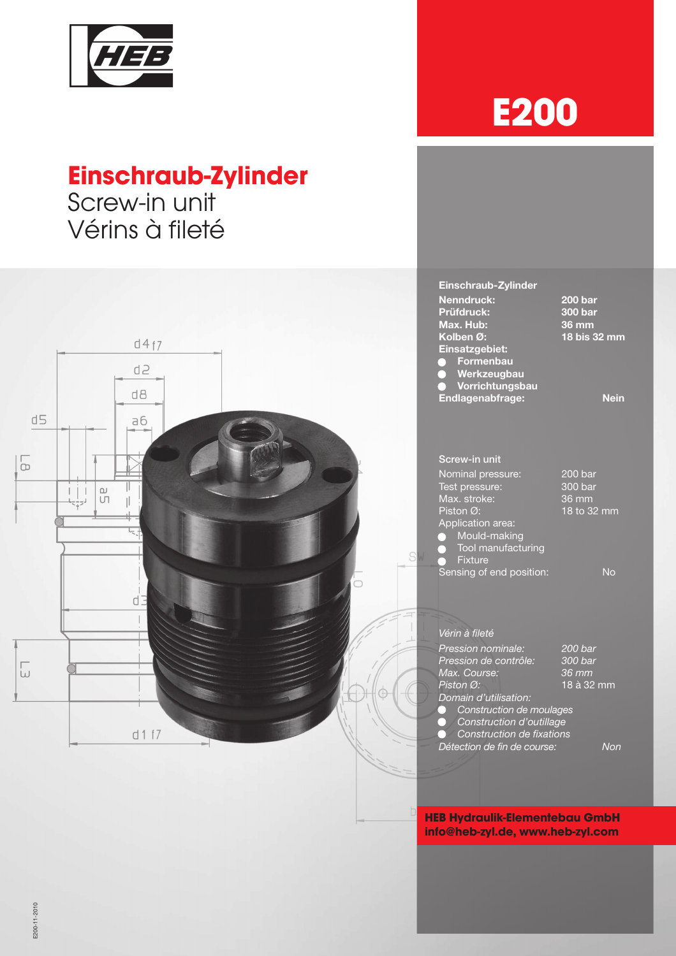

# **Einschraub-Zylinder**

Screw-in unit Vérins à fileté



### Einschraub-Zylinder Nenndruck: 200 bar Prüfdruck: 300 bar Max. Hub:<br>36 Max. Hub:<br>36 Kolben 36 mm<br>18 bis 32 mm  $d4f7$ Einsatzgebiet: **•** Formenbau d<sub>2</sub> **• Werkzeugbau** • Vorrichtungsbau  $d8$ Endlagenabfrage: Nein  $d5$  $a6$ Screw-in unit  $\frac{1}{10}$ Nominal pressure: 200 bar<br>Test pressure: 300 bar  $\frac{d}{d}$  $\mathbb{I}$ Test pressure:  $\vdash$ Max. stroke: 36 mm  $\mathbf{I}$ Piston Ø: 18 to 32 mm Application area: **•** Mould-making **• Tool manufacturing** C **•** Fixture Sensing of end position: No d. Vérin à fileté Pression nominale: 200 bar<br>Pression de contrôle: 300 bar n en entrôle: tombail.<br>Pression de contrôle: 300 bar<br>Max. Course: 36 mm  $\overline{\omega}$ Max. Course:<br>Piston Ø: 18 à 32 mm Domain d'utilisation: • Construction de moulages • Construction d'outillage  $d1f7$ **•** Construction de fixations Détection de fin de course: Non

### **HEB Hydraulik-Elementebau GmbH info@heb-zyl.de, www.heb-zyl.com**

E200-11-2010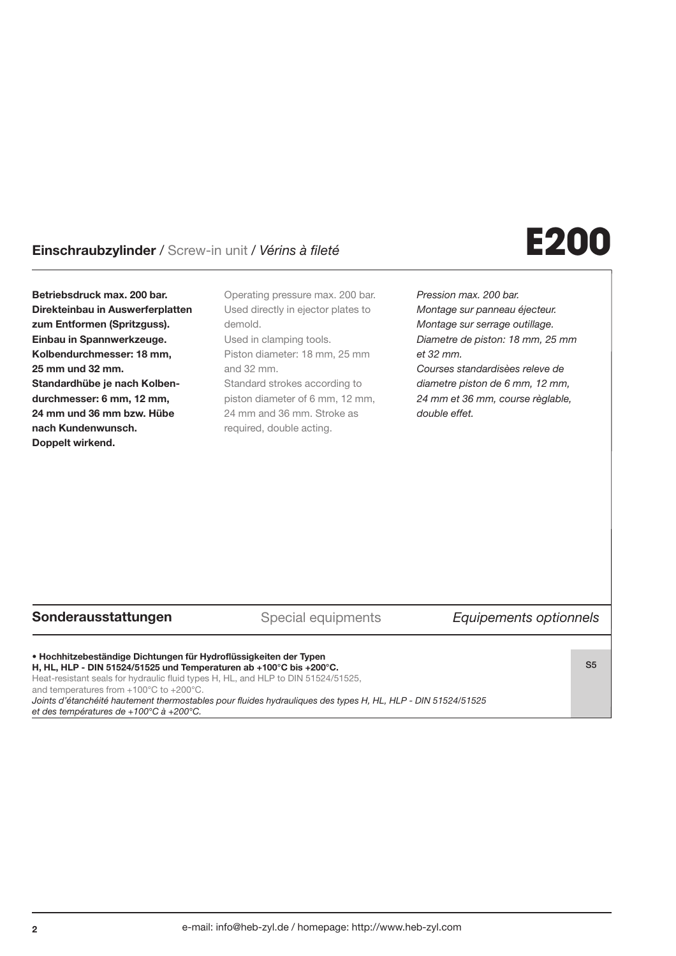## Einschraubzylinder / Screw-in unit / Vérins à fileté **E200**

Betriebsdruck max. 200 bar. Direkteinbau in Auswerferplatten zum Entformen (Spritzguss). Einbau in Spannwerkzeuge. Kolbendurchmesser: 18 mm, 25 mm und 32 mm. Standardhübe je nach Kolbendurchmesser: 6 mm, 12 mm, 24 mm und 36 mm bzw. Hübe nach Kundenwunsch. Doppelt wirkend.

Operating pressure max. 200 bar. Used directly in ejector plates to demold. Used in clamping tools. Piston diameter: 18 mm, 25 mm and 32 mm. Standard strokes according to piston diameter of 6 mm, 12 mm, 24 mm and 36 mm. Stroke as required, double acting.

Pression max. 200 bar. Montage sur panneau éjecteur. Montage sur serrage outillage. Diametre de piston: 18 mm, 25 mm et 32 mm. Courses standardisèes releve de diametre piston de 6 mm, 12 mm, 24 mm et 36 mm, course règlable, double effet.

### Sonderausstattungen Special equipments Equipements optionnels

• Hochhitzebeständige Dichtungen für Hydroflüssigkeiten der Typen H, HL, HLP - DIN 51524/51525 und Temperaturen ab +100°C bis +200°C. Heat-resistant seals for hydraulic fluid types H, HL, and HLP to DIN 51524/51525, and temperatures from +100°C to +200°C.

S5

Joints d'étanchéité hautement thermostables pour fluides hydrauliques des types H, HL, HLP - DIN 51524/51525 et des températures de +100°C à +200°C.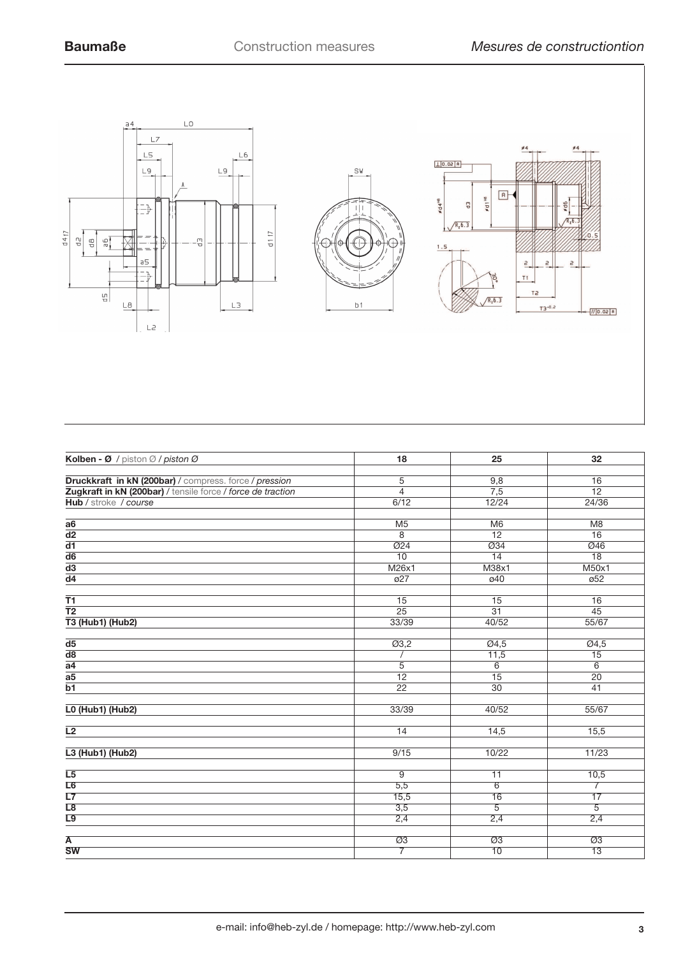

| Kolben - Ø / piston Ø / piston Ø                            | 18                | 25                    | 32                     |
|-------------------------------------------------------------|-------------------|-----------------------|------------------------|
|                                                             |                   |                       |                        |
| Druckkraft in kN (200bar) / compress. force / pression      | 5                 | 9,8                   | 16                     |
| Zugkraft in kN (200bar) / tensile force / force de traction | $\overline{4}$    | 7,5                   | $\overline{12}$        |
| Hub / stroke / course                                       | 6/12              | 12/24                 | 24/36                  |
|                                                             |                   |                       |                        |
| a6                                                          | M <sub>5</sub>    | M6                    | M <sub>8</sub>         |
| $\overline{d2}$                                             | 8                 | $\overline{12}$       | $\overline{16}$        |
| $\overline{d1}$                                             | Ø24               | $\overline{\omega}34$ | Ø46                    |
| $\overline{d6}$                                             | $\overline{10}$   | $\overline{14}$       | $\overline{18}$        |
| $\overline{d3}$                                             | M26x1             | M38x1                 | M50x1                  |
| $\overline{d4}$                                             | $\overline{027}$  | ø40                   | $\overline{\omega}$ 52 |
| <b>T1</b>                                                   | 15                | 15                    | 16                     |
| $\overline{12}$                                             | 25                | $\overline{31}$       | 45                     |
| <b>T3 (Hub1) (Hub2)</b>                                     | 33/39             | 40/52                 | 55/67                  |
|                                                             |                   |                       |                        |
| d <sub>5</sub>                                              | $\overline{03,2}$ | $\overline{04,5}$     | Ø4,5                   |
| $\overline{d8}$                                             |                   | 11,5                  | 15                     |
| $\overline{a4}$                                             | 5                 | 6                     | 6                      |
| a <sub>5</sub>                                              | 12                | 15                    | 20                     |
| $\overline{b1}$                                             | $\overline{22}$   | 30                    | 41                     |
|                                                             |                   |                       |                        |
| <b>L0 (Hub1) (Hub2)</b>                                     | 33/39             | 40/52                 | 55/67                  |
| L2                                                          | 14                |                       | 15,5                   |
|                                                             |                   | 14,5                  |                        |
| L3 (Hub1) (Hub2)                                            | 9/15              | 10/22                 | 11/23                  |
|                                                             |                   |                       |                        |
| L <sub>5</sub>                                              | 9                 | 11                    | 10,5                   |
| L6                                                          | 5,5               | 6                     | $\overline{7}$         |
| L7                                                          | 15,5              | 16                    | 17                     |
| L8                                                          | 3,5               | $\overline{5}$        | $\overline{5}$         |
| L9                                                          | 2,4               | 2,4                   | 2,4                    |
|                                                             |                   |                       |                        |
| $\overline{\mathsf{A}}$<br><b>SW</b>                        | Ø3                | $\overline{\omega}3$  | $\overline{\omega}3$   |
|                                                             | $\overline{7}$    | 10                    | $\overline{13}$        |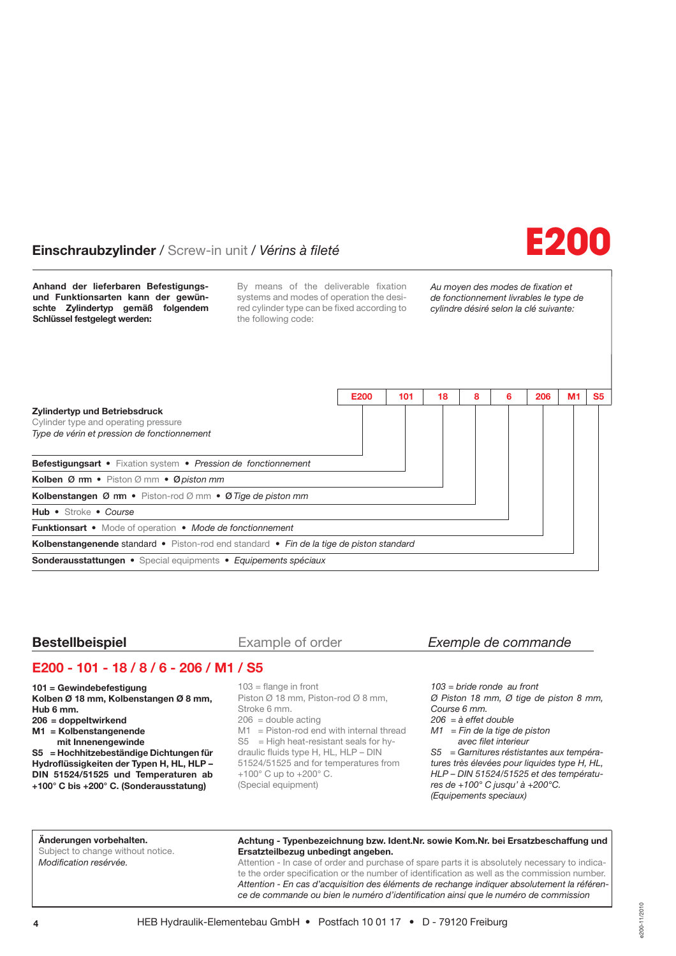## Einschraubzylinder / Screw-in unit / Vérins à fileté **E200**



Anhand der lieferbaren Befestigungsund Funktionsarten kann der gewünschte Zylindertyp gemäß folgendem Schlüssel festgelegt werden:

By means of the deliverable fixation systems and modes of operation the desired cylinder type can be fixed according to the following code:

Au moyen des modes de fixation et de fonctionnement livrables le type de cylindre désiré selon la clé suivante:



### **Bestellbeispiel** Example of order Exemple de commande

### E200 - 101 - 18 / 8 / 6 - 206 / M1 / S5

101 = Gewindebefestigung Kolben Ø 18 mm, Kolbenstangen Ø 8 mm, Hub 6 mm.

- 206 = doppeltwirkend
- M1 = Kolbenstangenende
- mit Innenengewinde

S5 = Hochhitzebeständige Dichtungen für Hydroflüssigkeiten der Typen H, HL, HLP –

DIN 51524/51525 und Temperaturen ab +100° C bis +200° C. (Sonderausstatung)

103 = flange in front Piston Ø 18 mm, Piston-rod Ø 8 mm, Stroke 6 mm.  $206$  = double acting  $M1 =$  Piston-rod end with internal thread  $S5 = High heat-resistant seats for hy$ draulic fluids type H, HL, HLP – DIN 51524/51525 and for temperatures from +100° C up to +200° C. (Special equipment)

103 = bride ronde au front Ø Piston 18 mm, Ø tige de piston 8 mm, Course 6 mm.  $206 = \hat{a}$  effet double  $M1 = Fin$  de la tige de piston avec filet interieur S5 = Garnitures réstistantes aux températures très élevées pour liquides type H, HL, HLP – DIN 51524/51525 et des températures de +100° C jusqu' à +200°C.

(Equipements speciaux)

### Änderungen vorbehalten.

Subject to change without notice. Modification resérvée.

### Achtung - Typenbezeichnung bzw. Ident.Nr. sowie Kom.Nr. bei Ersatzbeschaffung und Ersatzteilbezug unbedingt angeben.

Attention - In case of order and purchase of spare parts it is absolutely necessary to indicate the order specification or the number of identification as well as the commission number. Attention - En cas d'acquisition des éléments de rechange indiquer absolutement la référence de commande ou bien le numéro d'identification ainsi que le numéro de commission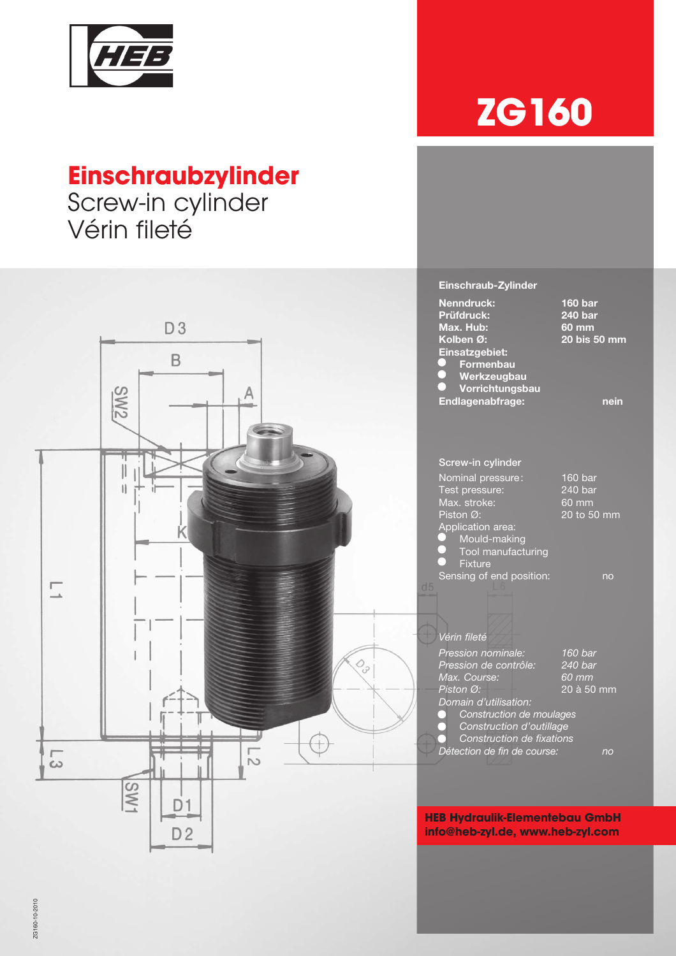

# **Einschraubzylinder**

Screw-in cylinder Vérin fileté



### Einschraub-Zylinder